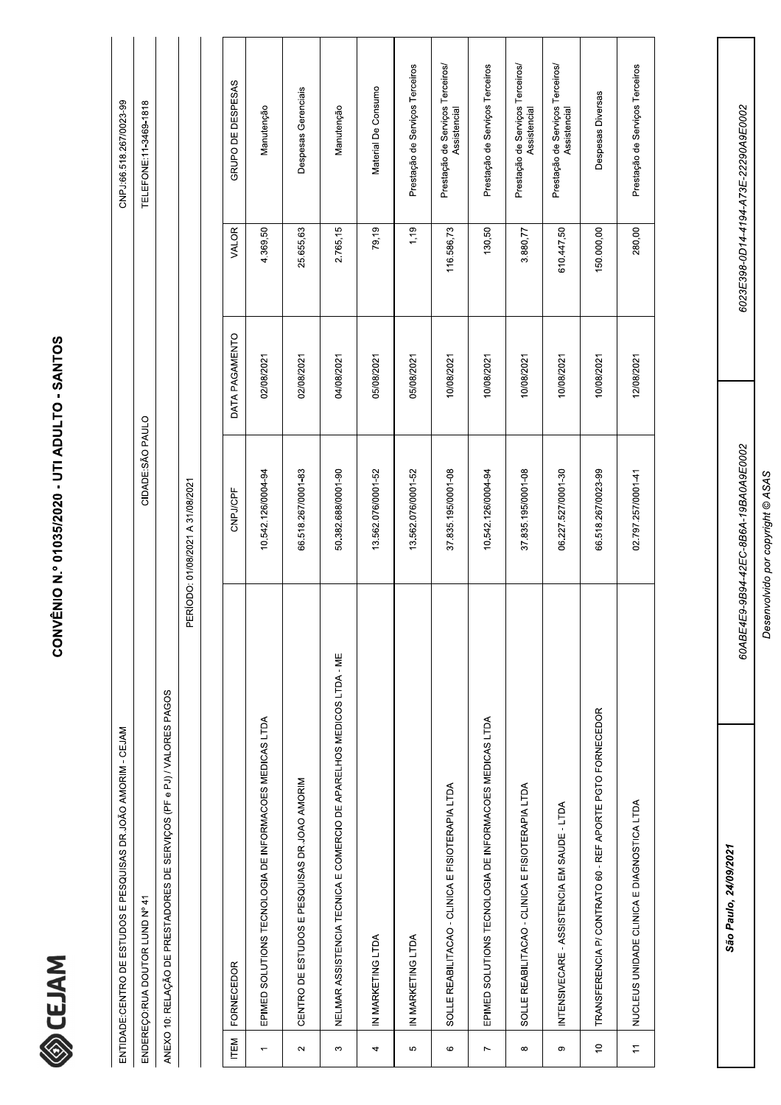

|                | ENTIDADE: CENTRO DE ESTUDOS E PESQUISAS DR. JOÃO AMORIM - CEJAM        |                                  |                |              | CNPJ:66.518.267/0023-99                          |
|----------------|------------------------------------------------------------------------|----------------------------------|----------------|--------------|--------------------------------------------------|
|                | ENDEREÇO:RUA DOUTOR LUND Nº 41                                         | CIDADE:SÃO PAULO                 |                |              | TELEFONE:11-3469-1818                            |
|                | ANEXO 10: RELAÇÃO DE PRESTADORES DE SERVIÇOS (PF e PJ) / VALORES PAGOS |                                  |                |              |                                                  |
|                |                                                                        | PERÍODO: 01/08/2021 A 31/08/2021 |                |              |                                                  |
|                |                                                                        |                                  |                |              |                                                  |
| <b>ITEM</b>    | <b>FORNECEDOR</b>                                                      | CNPJ/CPF                         | DATA PAGAMENTO | <b>VALOR</b> | GRUPO DE DESPESAS                                |
|                | EPIMED SOLUTIONS TECNOLOGIA DE INFORMACOES MEDICAS LTDA                | 10.542.126/0004-94               | 02/08/2021     | 4.369,50     | Manutenção                                       |
| $\sim$         | CENTRO DE ESTUDOS E PESQUISAS DR.JOAO AMORIM                           | 66.518.267/0001-83               | 02/08/2021     | 25.655,63    | Despesas Gerenciais                              |
| S              | NELMAR ASSISTENCIA TECNICA E COMERCIO DE APARELHOS MEDICOS LTDA - ME   | 50.382.688/0001-90               | 04/08/2021     | 2.765,15     | Manutenção                                       |
| 4              | IN MARKETING LTDA                                                      | 13.562.076/0001-52               | 05/08/2021     | 79,19        | Material De Consumo                              |
| 5              | IN MARKETING LTDA                                                      | 13.562.076/0001-52               | 05/08/2021     | 1,19         | Prestação de Serviços Terceiros                  |
| $\circ$        | SOLLE REABILITACAO - CLINICA E FISIOTERAPIA LTDA                       | 37.835.195/0001-08               | 10/08/2021     | 116.586,73   | Prestação de Serviços Terceiros/<br>Assistencial |
| $\overline{ }$ | EPIMED SOLUTIONS TECNOLOGIA DE INFORMACOES MEDICAS LTDA                | 10.542.126/0004-94               | 10/08/2021     | 130,50       | Prestação de Serviços Terceiros                  |
| ${}^{\circ}$   | SOLLE REABILITACAO - CLINICA E FISIOTERAPIA LTDA                       | 37.835.195/0001-08               | 10/08/2021     | 3.880,77     | Prestação de Serviços Terceiros/<br>Assistencial |
| တ              | INTENSIVECARE - ASSISTENCIA EM SAUDE - LTDA                            | 06.227.527/0001-30               | 10/08/2021     | 610.447,50   | Prestação de Serviços Terceiros/<br>Assistencial |
| $\overline{c}$ | TRANSFERENCIA P/ CONTRATO 60 - REF APORTE PGTO FORNECEDOR              | 66.518.267/0023-99               | 10/08/2021     | 150.000,00   | Despesas Diversas                                |

Desenvolvido por copyright © ASAS

60ABE4E9-9B94-42EC-8B6A-19BA0A9E0002

6023E398-0D14-4194-A73E-22290A9E0002

Prestação de Serviços Terceiros

280,00

12/08/2021

02.797.257/0001-41

NUCLEUS UNIDADE CLINICA E DIAGNOSTICA LTDA

 $\frac{1}{2}$ 

São Paulo, 24/09/2021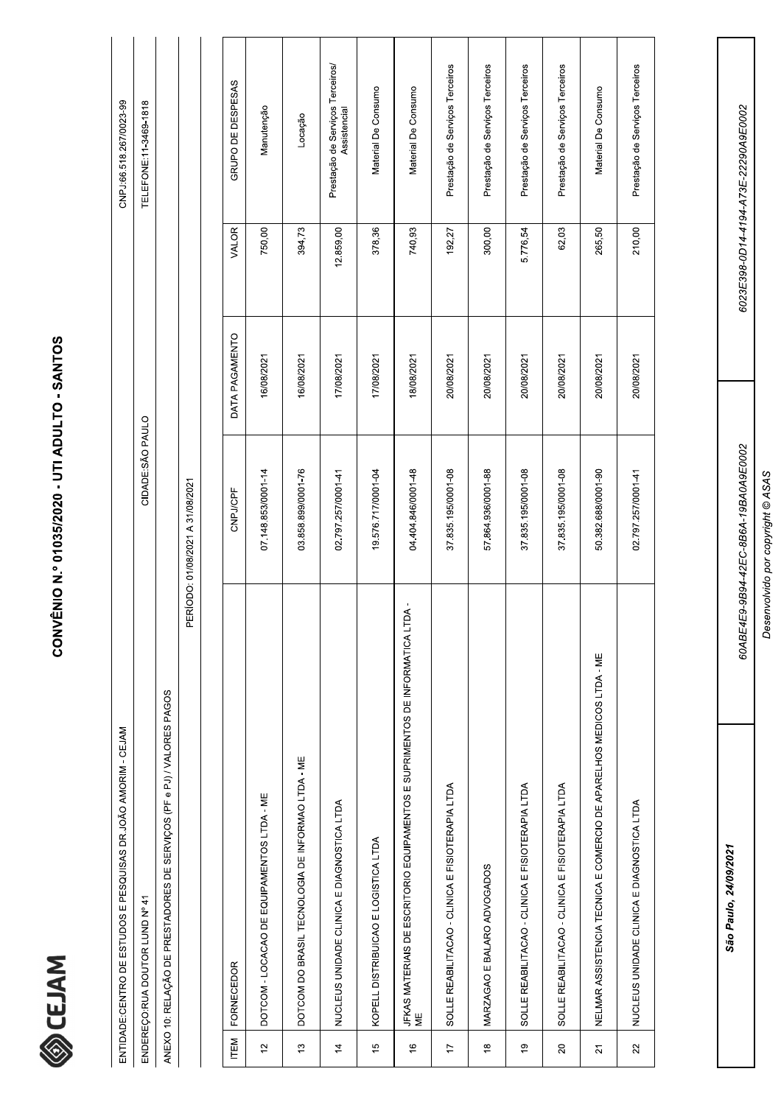

|                | ENTIDADE:CENTRO DE ESTUDOS E PESQUISAS DR.JOÃO AMORIM - CEJAM                        |                                  |                |           | CNPJ:66.518.267/0023-99                          |  |
|----------------|--------------------------------------------------------------------------------------|----------------------------------|----------------|-----------|--------------------------------------------------|--|
|                | ENDEREÇO: RUA DOUTOR LUND Nº 41                                                      | CIDADE:SÃO PAULO                 |                |           | TELEFONE:11-3469-1818                            |  |
|                | ANEXO 10: RELAÇÃO DE PRESTADORES DE SERVIÇOS (PF e PJ) / VALORES PAGOS               |                                  |                |           |                                                  |  |
|                |                                                                                      | PERÍODO: 01/08/2021 A 31/08/2021 |                |           |                                                  |  |
|                |                                                                                      |                                  |                |           |                                                  |  |
| ITEM           | FORNECEDOR                                                                           | CNPJ/CPF                         | DATA PAGAMENTO | VALOR     | GRUPO DE DESPESAS                                |  |
| $\frac{1}{2}$  | DOTCOM - LOCACAO DE EQUIPAMENTOS LTDA - ME                                           | 07.148.853/0001-14               | 16/08/2021     | 750,00    | Manutenção                                       |  |
| 5,             | DOTCOM DO BRASIL TECNOLOGIA DE INFORMAO LTDA - ME                                    | 03.858.899/0001-76               | 16/08/2021     | 394,73    | Locação                                          |  |
| $\frac{4}{5}$  | NUCLEUS UNIDADE CLINICA E DIAGNOSTICA LTDA                                           | 02.797.257/0001-41               | 17/08/2021     | 12.859,00 | Prestação de Serviços Terceiros/<br>Assistencial |  |
| $\frac{6}{2}$  | KOPELL DISTRIBUICAO E LOGISTICA LTDA                                                 | 19.576.717/0001-04               | 17/08/2021     | 378,36    | Material De Consumo                              |  |
| $\frac{6}{5}$  | JFKAS MATERIAIS DE ESCRITORIO EQUIPAMENTOS E SUPRIMENTOS DE INFORMATICA LTDA -<br>ΜË | 04.404.846/0001-48               | 18/08/2021     | 740,93    | Material De Consumo                              |  |
| $\overline{1}$ | SOLLE REABILITACAO - CLINICA E FISIOTERAPIA LTDA                                     | 37 835 195/0001-08               | 20/08/2021     | 192,27    | Prestação de Serviços Terceiros                  |  |
| $\frac{8}{1}$  | MARZAGAO E BALARO ADVOGADOS                                                          | 57.864.936/0001-88               | 20/08/2021     | 300,00    | Prestação de Serviços Terceiros                  |  |
| $\frac{6}{2}$  | SOLLE REABILITACAO - CLINICA E FISIOTERAPIA LTDA                                     | 37.835.195/0001-08               | 20/08/2021     | 5.776,54  | Prestação de Serviços Terceiros                  |  |
| $\approx$      | SOLLE REABILITACAO - CLINICA E FISIOTERAPIA LTDA                                     | 37.835.195/0001-08               | 20/08/2021     | 62,03     | Prestação de Serviços Terceiros                  |  |
| $\overline{2}$ | NELMAR ASSISTENCIA TECNICA E COMERCIO DE APARELHOS MEDICOS LTDA - ME                 | 50.382.688/0001-90               | 20/08/2021     | 265,50    | Material De Consumo                              |  |

Desenvolvido por copyright @ ASAS

60ABE4E9-9B94-42EC-8B6A-19BA0A9E0002

6023E398-0D14-4194-A73E-22290A9E0002

Prestação de Serviços Terceiros

210,00

20/08/2021

02.797.257/0001-41

NUCLEUS UNIDADE CLINICA E DIAGNOSTICA LTDA

 $\overline{2}$ 

São Paulo, 24/09/2021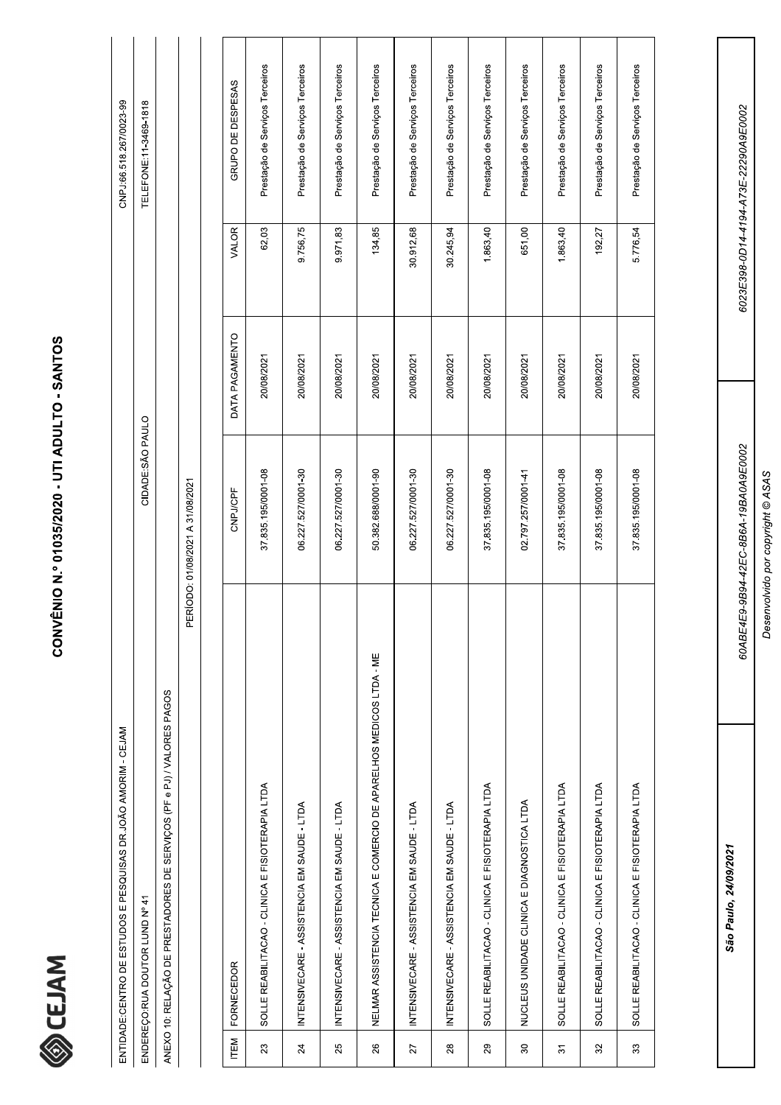

|      | ENTIDADE:CENTRO DE ESTUDOS E PESQUISAS DR.JOÃO AMORIM - CEJAM          |                                  |                |           | CNPJ:66.518.267/0023-99         |  |
|------|------------------------------------------------------------------------|----------------------------------|----------------|-----------|---------------------------------|--|
|      | ENDEREÇO: RUA DOUTOR LUND Nº 41                                        | CIDADE: SÃO PAULO                |                |           | TELEFONE:11-3469-1818           |  |
|      | ANEXO 10: RELAÇÃO DE PRESTADORES DE SERVIÇOS (PF e PJ) / VALORES PAGOS |                                  |                |           |                                 |  |
|      |                                                                        | PERÍODO: 01/08/2021 A 31/08/2021 |                |           |                                 |  |
|      |                                                                        |                                  |                |           |                                 |  |
| ITEM | <b>FORNECEDOR</b>                                                      | CNPJ/CPF                         | DATA PAGAMENTO | VALOR     | GRUPO DE DESPESAS               |  |
| 23   | SOLLE REABILITACAO - CLINICA E FISIOTERAPIA LTDA                       | 37.835.195/0001-08               | 20/08/2021     | 62,03     | Prestação de Serviços Terceiros |  |
| 24   | INTENSIVECARE - ASSISTENCIA EM SAUDE - LTDA                            | 06.227.527/0001-30               | 20/08/2021     | 9.756,75  | Prestação de Serviços Terceiros |  |
| 25   | INTENSIVECARE - ASSISTENCIA EM SAUDE - LTDA                            | 06.227.527/0001-30               | 20/08/2021     | 9.971,83  | Prestação de Serviços Terceiros |  |
| 26   | NELMAR ASSISTENCIA TECNICA E COMERCIO DE APARELHOS MEDICOS LTDA - ME   | 50.382.688/0001-90               | 20/08/2021     | 134,85    | Prestação de Serviços Terceiros |  |
| 27   | INTENSIVECARE - ASSISTENCIA EM SAUDE - LTDA                            | 06.227.527/0001-30               | 20/08/2021     | 30.912,68 | Prestação de Serviços Terceiros |  |

| 28     | INTENSIVECARE - ASSISTENCIA EM SAUDE - LTDA      | 06.227.527/0001-30 | 20/08/2021 | 30.245,94 | Prestação de Serviços Terceiros |
|--------|--------------------------------------------------|--------------------|------------|-----------|---------------------------------|
| ვ<br>გ | SOLLE REABILITACAO - CLINICA E FISIOTERAPIA LTDA | 37.835.195/0001-08 | 20/08/2021 | 1.863,40  | Prestação de Serviços Terceiros |
| 30     | NUCLEUS UNIDADE CLINICA E DIAGNOSTICA LTDA       | 02.797.257/0001-41 | 20/08/2021 | 651,00    | Prestação de Serviços Terceiros |
| 51     | SOLLE REABILITACAO - CLINICA E FISIOTERAPIA LTDA | 37.835.195/0001-08 | 20/08/2021 | 1.863,40  | Prestação de Serviços Terceiros |
| 32     | SOLLE REABILITACAO - CLINICA E FISIOTERAPIA LTDA | 37.835.195/0001-08 | 20/08/2021 | 192.27    | Prestação de Serviços Terceiros |
| 33     | SOLLE REABILITACAO - CLINICA E FISIOTERAPIA LTDA | 37.835.195/0001-08 | 20/08/2021 | 5.776,54  | Prestação de Serviços Terceiros |

Desenvolvido por copyright @ ASAS

60ABE4E9-9B94-42EC-8B6A-19BA0A9E0002

6023E398-0D14-4194-A73E-22290A9E0002

São Paulo, 24/09/2021